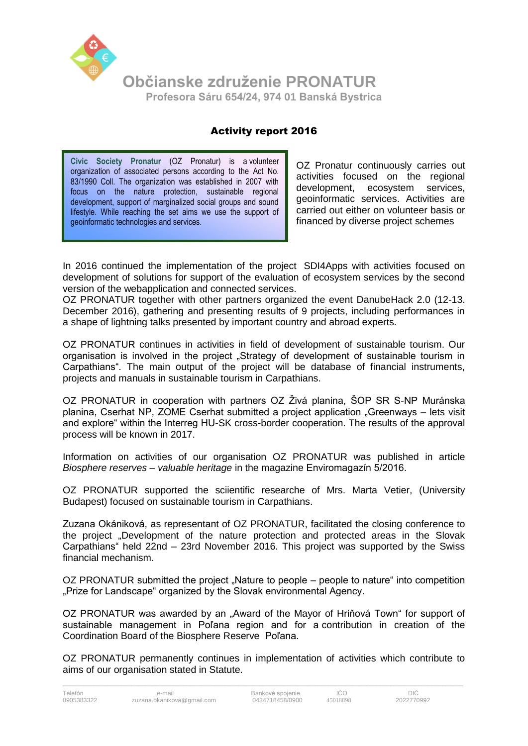

## Activity report 2016

**Civic Society Pronatur** (OZ Pronatur) is a volunteer organization of associated persons according to the Act No. 83/1990 Coll. The organization was established in 2007 with focus on the nature protection, sustainable regional development, support of marginalized social groups and sound lifestyle. While reaching the set aims we use the support of geoinformatic technologies and services.

OZ Pronatur continuously carries out activities focused on the regional development, ecosystem services, geoinformatic services. Activities are carried out either on volunteer basis or financed by diverse project schemes

In 2016 continued the implementation of the project SDI4Apps with activities focused on development of solutions for support of the evaluation of ecosystem services by the second version of the webapplication and connected services.

OZ PRONATUR together with other partners organized the event DanubeHack 2.0 (12-13. December 2016), gathering and presenting results of 9 projects, including performances in a shape of lightning talks presented by important country and abroad experts.

OZ PRONATUR continues in activities in field of development of sustainable tourism. Our organisation is involved in the project "Strategy of development of sustainable tourism in Carpathians". The main output of the project will be database of financial instruments, projects and manuals in sustainable tourism in Carpathians.

OZ PRONATUR in cooperation with partners OZ Živá planina, ŠOP SR S-NP Muránska planina, Cserhat NP, ZOME Cserhat submitted a project application "Greenways – lets visit and explore" within the Interreg HU-SK cross-border cooperation. The results of the approval process will be known in 2017.

Information on activities of our organisation OZ PRONATUR was published in article *Biosphere reserves – valuable heritage* in the magazine Enviromagazín 5/2016.

OZ PRONATUR supported the sciientific researche of Mrs. Marta Vetier, (University Budapest) focused on sustainable tourism in Carpathians.

Zuzana Okániková, as representant of OZ PRONATUR, facilitated the closing conference to the project "Development of the nature protection and protected areas in the Slovak Carpathians" held 22nd – 23rd November 2016. This project was supported by the Swiss financial mechanism.

OZ PRONATUR submitted the project "Nature to people – people to nature" into competition "Prize for Landscape" organized by the Slovak environmental Agency.

OZ PRONATUR was awarded by an "Award of the Mayor of Hriňová Town" for support of sustainable management in Poľana region and for a contribution in creation of the Coordination Board of the Biosphere Reserve Poľana.

OZ PRONATUR permanently continues in implementation of activities which contribute to aims of our organisation stated in Statute.